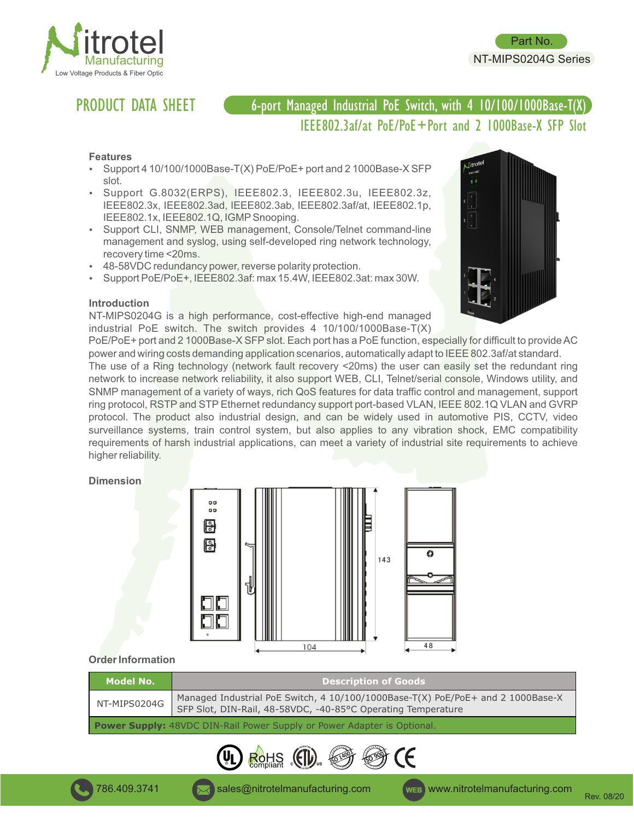

# PRODUCT DATA SHEET

## 6-port Managed Industrial PoE Switch, with 4 10/100/1000Base-T(X) IIEEE802.3af/at PoE/PoE+Port and 2 1000Base-X SFP Slot

#### **Features**

- Support 4 10/100/1000Base-T(X) PoE/PoE+ port and 2 1000Base-X SFP slot.
- Support G.8032(ERPS), IEEE802.3, IEEE802.3u, IEEE802.3z, IEEE802.3x, IEEE802.3ad, IEEE802.3ab, IEEE802.3af/at, IEEE802.1p, IEEE802.1x, IEEE802.1Q, IGMPSnooping.
- Support CLI, SNMP, WEB management, Console/Telnet command-line management and syslog, using self-developed ring network technology, recovery time <20ms.
- 48-58VDC redundancy power, reverse polarity protection.
- Support PoE/PoE+, IEEE802.3af: max 15.4W, IEEE802.3at: max 30W.

#### **Introduction**

NT-MIPS0204G is a high performance, cost-effective high-end managed industrial PoE switch. The switch provides 4 10/100/1000Base-T(X)



Part No. NT-MIPS0204G Series

PoE/PoE+ port and 2 1000Base-X SFP slot. Each port has a PoE function, especially for difficult to provide AC power and wiring costs demanding application scenarios, automatically adapt to IEEE 802.3af/at standard.

The use of a Ring technology (network fault recovery <20ms) the user can easily set the redundant ring network to increase network reliability, it also support WEB, CLI, Telnet/serial console, Windows utility, and SNMP management of a variety of ways, rich QoS features for data traffic control and management, support ring protocol, RSTP and STP Ethernet redundancy support port-based VLAN, IEEE 802.1Q VLAN and GVRP protocol. The product also industrial design, and can be widely used in automotive PIS, CCTV, video surveillance systems, train control system, but also applies to any vibration shock, EMC compatibility requirements of harsh industrial applications, can meet a variety of industrial site requirements to achieve higher reliability.

#### **Dimension**



#### **Order Information**

| <b>Model No.</b>                                                               | <b>Description of Goods</b>                                                                                                                     |
|--------------------------------------------------------------------------------|-------------------------------------------------------------------------------------------------------------------------------------------------|
| NT-MIPS0204G                                                                   | Managed Industrial PoE Switch, 4 10/100/1000Base-T(X) PoE/PoE+ and 2 1000Base-X<br>SFP Slot, DIN-Rail, 48-58VDC, -40-85°C Operating Temperature |
| <b>Power Supply:</b> 48VDC DIN-Rail Power Supply or Power Adapter is Optional. |                                                                                                                                                 |